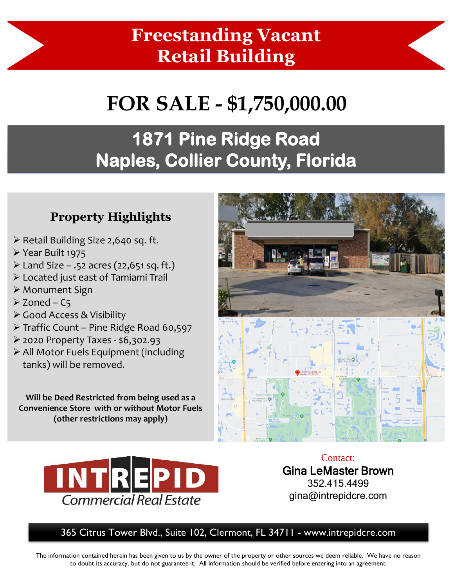## **Freestanding Vacant Retail Building**

# **FOR SALE - \$1,750,000.00**

## **1871 Pine Ridge Road Naples, Collier County, Florida**

#### **Property Highlights**

- ➢ Retail Building Size 2,640 sq. ft.
- ➢ Year Built 1975
- $\triangleright$  Land Size .52 acres (22,651 sq. ft.)
- ➢ Located just east of Tamiami Trail
- ➢ Monument Sign
- $\geq$  Zoned C5
- ➢ Good Access & Visibility
- ➢ Traffic Count Pine Ridge Road 60,597
- ➢ 2020 Property Taxes \$6,302.93
- ➢ All Motor Fuels Equipment (including tanks) will be removed.

**Will be Deed Restricted from being used as a Convenience Store with or without Motor Fuels (other restrictions may apply)** 





Contact: Gina LeMaster Brown 352.415.4499 gina@intrepidcre.com

365 Citrus Tower Blvd., Suite 102, Clermont, FL 34711 - www.intrepidcre.com

The information contained herein has been given to us by the owner of the property or other sources we deem reliable. We have no reason to doubt its accuracy, but do not guarantee it. All information should be verified before entering into an agreement.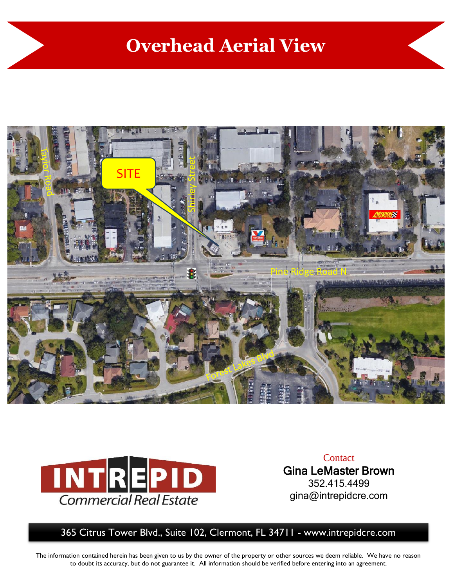### **Overhead Aerial View**





**Contact** Gina LeMaster Brown 352.415.4499 gina@intrepidcre.com

365 Citrus Tower Blvd., Suite 102, Clermont, FL 34711 - www.intrepidcre.com

The information contained herein has been given to us by the owner of the property or other sources we deem reliable. We have no reason to doubt its accuracy, but do not guarantee it. All information should be verified before entering into an agreement.